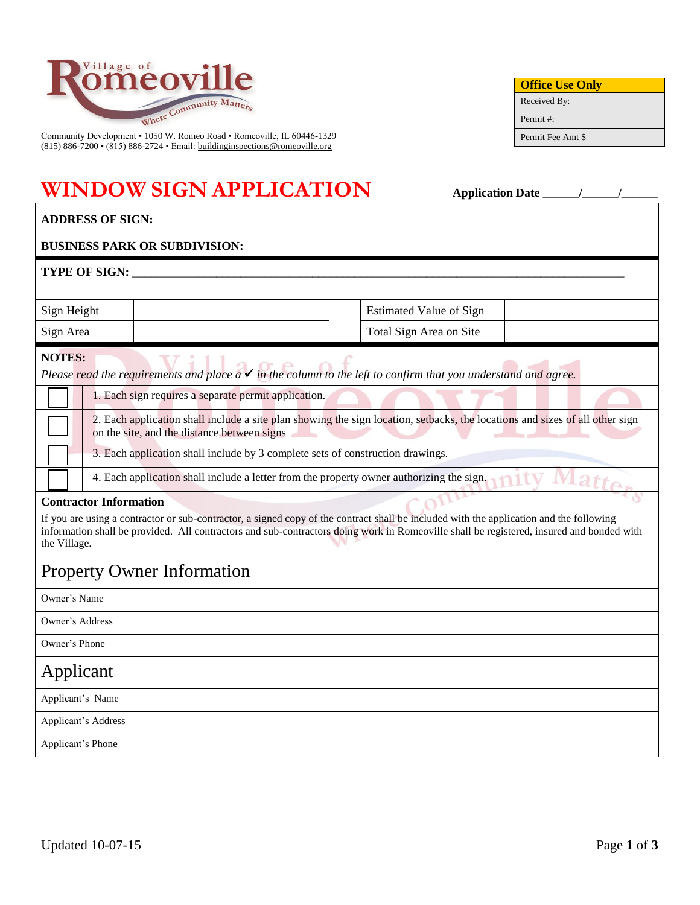

Community Development ▪ 1050 W. Romeo Road ▪ Romeoville, IL 60446-1329 (815) 886-7200 • (815) 886-2724 • Email[: buildinginspections@romeoville.org](mailto:buildinginspections@romeoville.org)

## **WINDOW SIGN APPLICATION Application Date \_\_\_\_\_\_/\_\_\_\_\_\_/\_\_\_\_\_\_**

| <b>BUSINESS PARK OR SUBDIVISION:</b>                                                                                                                                                                                                                                                                                                 |                                                                                |                                                                                                                              |  |  |  |
|--------------------------------------------------------------------------------------------------------------------------------------------------------------------------------------------------------------------------------------------------------------------------------------------------------------------------------------|--------------------------------------------------------------------------------|------------------------------------------------------------------------------------------------------------------------------|--|--|--|
| <b>TYPE OF SIGN: _</b>                                                                                                                                                                                                                                                                                                               |                                                                                |                                                                                                                              |  |  |  |
| Sign Height<br><b>Estimated Value of Sign</b>                                                                                                                                                                                                                                                                                        |                                                                                |                                                                                                                              |  |  |  |
| Sign Area                                                                                                                                                                                                                                                                                                                            |                                                                                | Total Sign Area on Site                                                                                                      |  |  |  |
| <b>NOTES:</b>                                                                                                                                                                                                                                                                                                                        |                                                                                | Please read the requirements and place $a \checkmark$ in the column to the left to confirm that you understand and agree.    |  |  |  |
|                                                                                                                                                                                                                                                                                                                                      | 1. Each sign requires a separate permit application.                           |                                                                                                                              |  |  |  |
|                                                                                                                                                                                                                                                                                                                                      | on the site, and the distance between signs                                    | 2. Each application shall include a site plan showing the sign location, setbacks, the locations and sizes of all other sign |  |  |  |
|                                                                                                                                                                                                                                                                                                                                      | 3. Each application shall include by 3 complete sets of construction drawings. |                                                                                                                              |  |  |  |
|                                                                                                                                                                                                                                                                                                                                      |                                                                                | 4. Each application shall include a letter from the property owner authorizing the sign.                                     |  |  |  |
| <b>Contractor Information</b><br>If you are using a contractor or sub-contractor, a signed copy of the contract shall be included with the application and the following<br>information shall be provided. All contractors and sub-contractors doing work in Romeoville shall be registered, insured and bonded with<br>the Village. |                                                                                |                                                                                                                              |  |  |  |
| <b>Property Owner Information</b>                                                                                                                                                                                                                                                                                                    |                                                                                |                                                                                                                              |  |  |  |
| Owner's Name                                                                                                                                                                                                                                                                                                                         |                                                                                |                                                                                                                              |  |  |  |
| Owner's Address                                                                                                                                                                                                                                                                                                                      |                                                                                |                                                                                                                              |  |  |  |
| Owner's Phone                                                                                                                                                                                                                                                                                                                        |                                                                                |                                                                                                                              |  |  |  |
| Applicant                                                                                                                                                                                                                                                                                                                            |                                                                                |                                                                                                                              |  |  |  |
| Applicant's Name                                                                                                                                                                                                                                                                                                                     |                                                                                |                                                                                                                              |  |  |  |
| <b>Applicant's Address</b>                                                                                                                                                                                                                                                                                                           |                                                                                |                                                                                                                              |  |  |  |
| Applicant's Phone                                                                                                                                                                                                                                                                                                                    |                                                                                |                                                                                                                              |  |  |  |

**Office Use Only** Received By: Permit #: Permit Fee Amt \$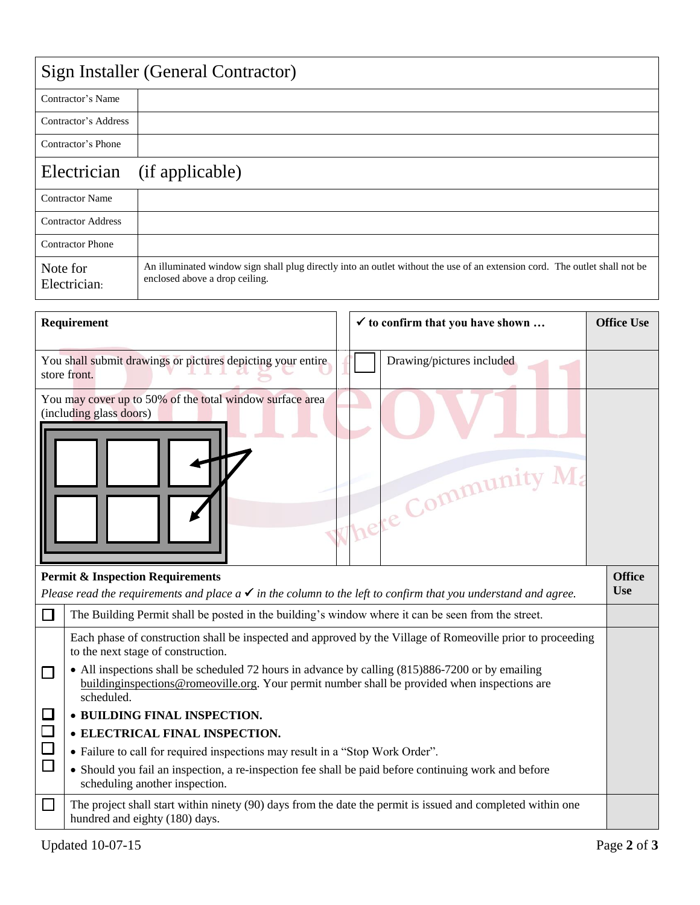| Sign Installer (General Contractor) |                                                                                                                                                               |  |  |  |
|-------------------------------------|---------------------------------------------------------------------------------------------------------------------------------------------------------------|--|--|--|
| Contractor's Name                   |                                                                                                                                                               |  |  |  |
| Contractor's Address                |                                                                                                                                                               |  |  |  |
| Contractor's Phone                  |                                                                                                                                                               |  |  |  |
| Electrician                         | (if applicable)                                                                                                                                               |  |  |  |
| <b>Contractor Name</b>              |                                                                                                                                                               |  |  |  |
| <b>Contractor Address</b>           |                                                                                                                                                               |  |  |  |
| <b>Contractor Phone</b>             |                                                                                                                                                               |  |  |  |
| Note for<br>Electrician:            | An illuminated window sign shall plug directly into an outlet without the use of an extension cord. The outlet shall not be<br>enclosed above a drop ceiling. |  |  |  |

| Requirement                                                                                                                                                                                                                                                                                                                                                                                                                                                             |                                                                                                                                                                          |  |  | $\checkmark$ to confirm that you have shown | <b>Office Use</b>           |
|-------------------------------------------------------------------------------------------------------------------------------------------------------------------------------------------------------------------------------------------------------------------------------------------------------------------------------------------------------------------------------------------------------------------------------------------------------------------------|--------------------------------------------------------------------------------------------------------------------------------------------------------------------------|--|--|---------------------------------------------|-----------------------------|
| You shall submit drawings or pictures depicting your entire<br>store front.                                                                                                                                                                                                                                                                                                                                                                                             |                                                                                                                                                                          |  |  | Drawing/pictures included                   |                             |
|                                                                                                                                                                                                                                                                                                                                                                                                                                                                         | You may cover up to 50% of the total window surface area<br>(including glass doors)                                                                                      |  |  | Where Community Ma                          |                             |
|                                                                                                                                                                                                                                                                                                                                                                                                                                                                         | <b>Permit &amp; Inspection Requirements</b><br>Please read the requirements and place $a \checkmark$ in the column to the left to confirm that you understand and agree. |  |  |                                             | <b>Office</b><br><b>Use</b> |
| $\mathsf{L}$                                                                                                                                                                                                                                                                                                                                                                                                                                                            | The Building Permit shall be posted in the building's window where it can be seen from the street.                                                                       |  |  |                                             |                             |
| Each phase of construction shall be inspected and approved by the Village of Romeoville prior to proceeding<br>to the next stage of construction.<br>• All inspections shall be scheduled 72 hours in advance by calling (815)886-7200 or by emailing<br>$\Box$<br>building inspections @ romeoville.org. Your permit number shall be provided when inspections are<br>scheduled.<br>$\Box$<br>• BUILDING FINAL INSPECTION.<br>$\Box$<br>• ELECTRICAL FINAL INSPECTION. |                                                                                                                                                                          |  |  |                                             |                             |
| $\Box$<br>• Failure to call for required inspections may result in a "Stop Work Order".                                                                                                                                                                                                                                                                                                                                                                                 |                                                                                                                                                                          |  |  |                                             |                             |
|                                                                                                                                                                                                                                                                                                                                                                                                                                                                         | $\Box$<br>• Should you fail an inspection, a re-inspection fee shall be paid before continuing work and before<br>scheduling another inspection.                         |  |  |                                             |                             |
| $\mathsf{L}$                                                                                                                                                                                                                                                                                                                                                                                                                                                            | The project shall start within ninety (90) days from the date the permit is issued and completed within one<br>hundred and eighty (180) days.                            |  |  |                                             |                             |